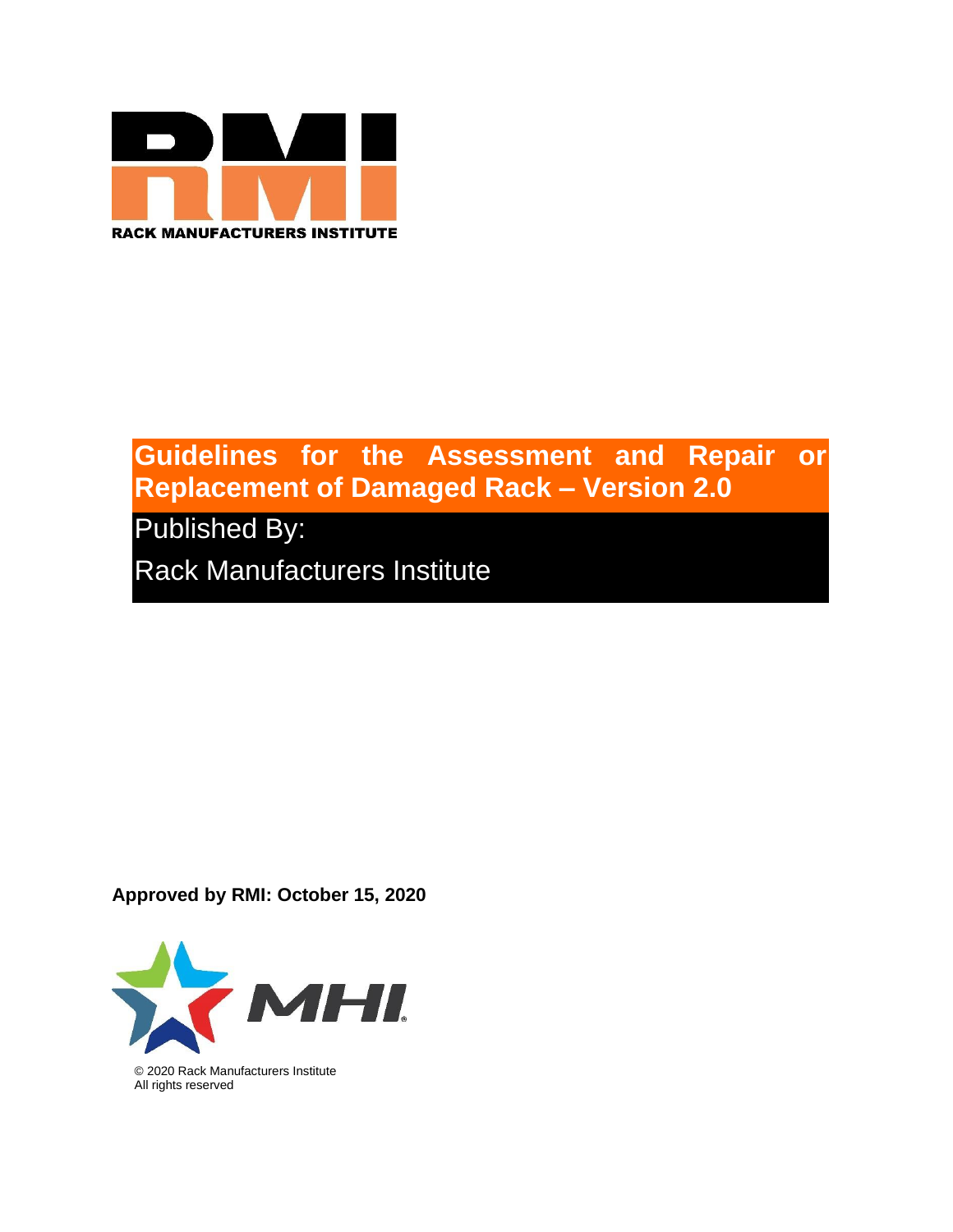

# **Guidelines for the Assessment and Repair or Replacement of Damaged Rack – Version 2.0**

Published By:

Rack Manufacturers Institute

**Approved by RMI: October 15, 2020**



© 2020 Rack Manufacturers Institute All rights reserved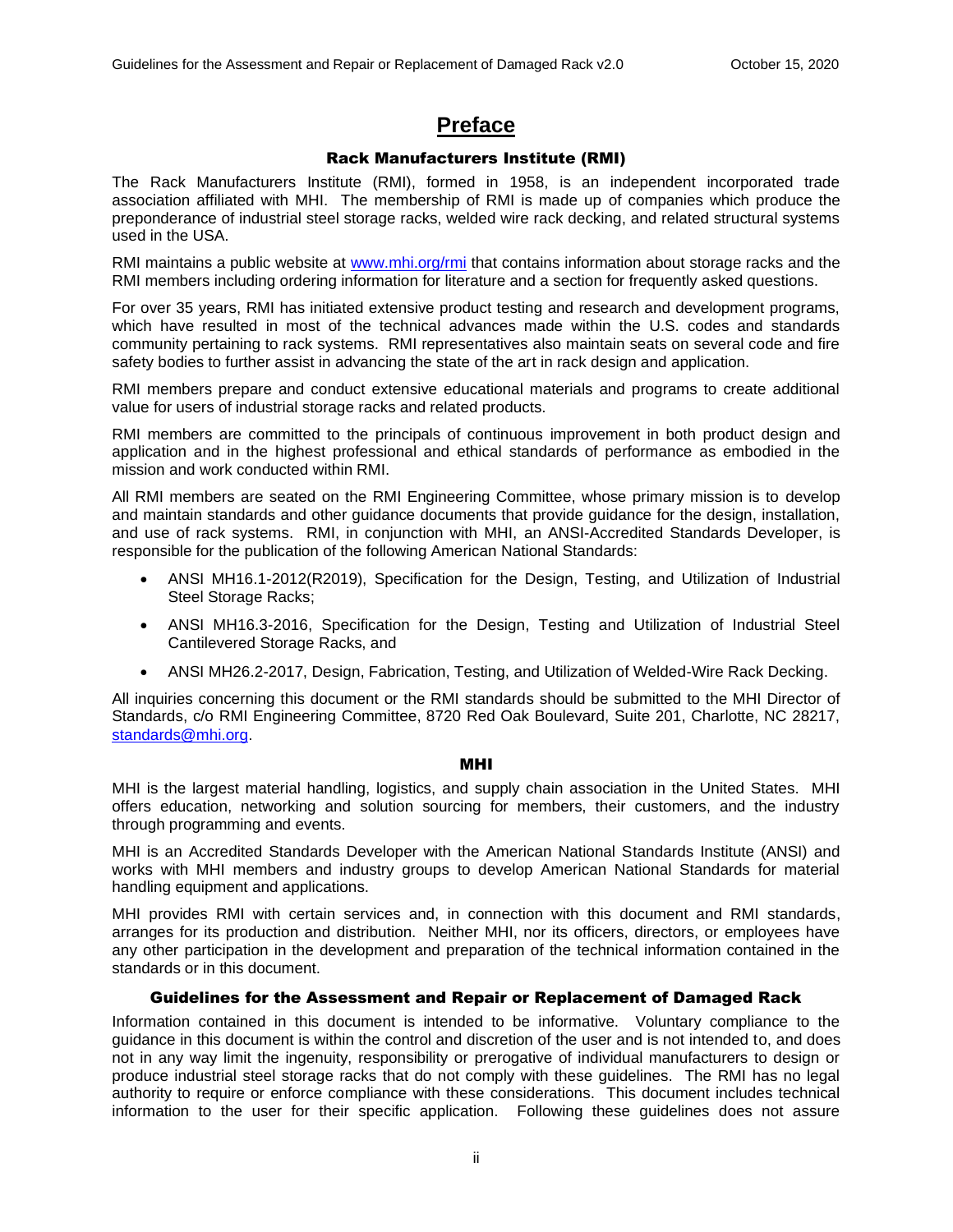## **Preface**

## Rack Manufacturers Institute (RMI)

<span id="page-1-1"></span><span id="page-1-0"></span>The Rack Manufacturers Institute (RMI), formed in 1958, is an independent incorporated trade association affiliated with MHI. The membership of RMI is made up of companies which produce the preponderance of industrial steel storage racks, welded wire rack decking, and related structural systems used in the USA.

RMI maintains a public website at [www.mhi.org/rmi](http://www.mhi.org/RMI) that contains information about storage racks and the RMI members including ordering information for literature and a section for frequently asked questions.

For over 35 years, RMI has initiated extensive product testing and research and development programs, which have resulted in most of the technical advances made within the U.S. codes and standards community pertaining to rack systems. RMI representatives also maintain seats on several code and fire safety bodies to further assist in advancing the state of the art in rack design and application.

RMI members prepare and conduct extensive educational materials and programs to create additional value for users of industrial storage racks and related products.

RMI members are committed to the principals of continuous improvement in both product design and application and in the highest professional and ethical standards of performance as embodied in the mission and work conducted within RMI.

All RMI members are seated on the RMI Engineering Committee, whose primary mission is to develop and maintain standards and other guidance documents that provide guidance for the design, installation, and use of rack systems. RMI, in conjunction with MHI, an ANSI-Accredited Standards Developer, is responsible for the publication of the following American National Standards:

- ANSI MH16.1-2012(R2019), Specification for the Design, Testing, and Utilization of Industrial Steel Storage Racks;
- ANSI MH16.3-2016, Specification for the Design, Testing and Utilization of Industrial Steel Cantilevered Storage Racks, and
- ANSI MH26.2-2017, Design, Fabrication, Testing, and Utilization of Welded-Wire Rack Decking.

All inquiries concerning this document or the RMI standards should be submitted to the MHI Director of Standards, c/o RMI Engineering Committee, 8720 Red Oak Boulevard, Suite 201, Charlotte, NC 28217, [standards@mhi.org.](mailto:standards@mhi.org)

### MHI

<span id="page-1-2"></span>MHI is the largest material handling, logistics, and supply chain association in the United States. MHI offers education, networking and solution sourcing for members, their customers, and the industry through programming and events.

MHI is an Accredited Standards Developer with the American National Standards Institute (ANSI) and works with MHI members and industry groups to develop American National Standards for material handling equipment and applications.

MHI provides RMI with certain services and, in connection with this document and RMI standards, arranges for its production and distribution. Neither MHI, nor its officers, directors, or employees have any other participation in the development and preparation of the technical information contained in the standards or in this document.

## Guidelines for the Assessment and Repair or Replacement of Damaged Rack

<span id="page-1-3"></span>Information contained in this document is intended to be informative. Voluntary compliance to the guidance in this document is within the control and discretion of the user and is not intended to, and does not in any way limit the ingenuity, responsibility or prerogative of individual manufacturers to design or produce industrial steel storage racks that do not comply with these guidelines. The RMI has no legal authority to require or enforce compliance with these considerations. This document includes technical information to the user for their specific application. Following these guidelines does not assure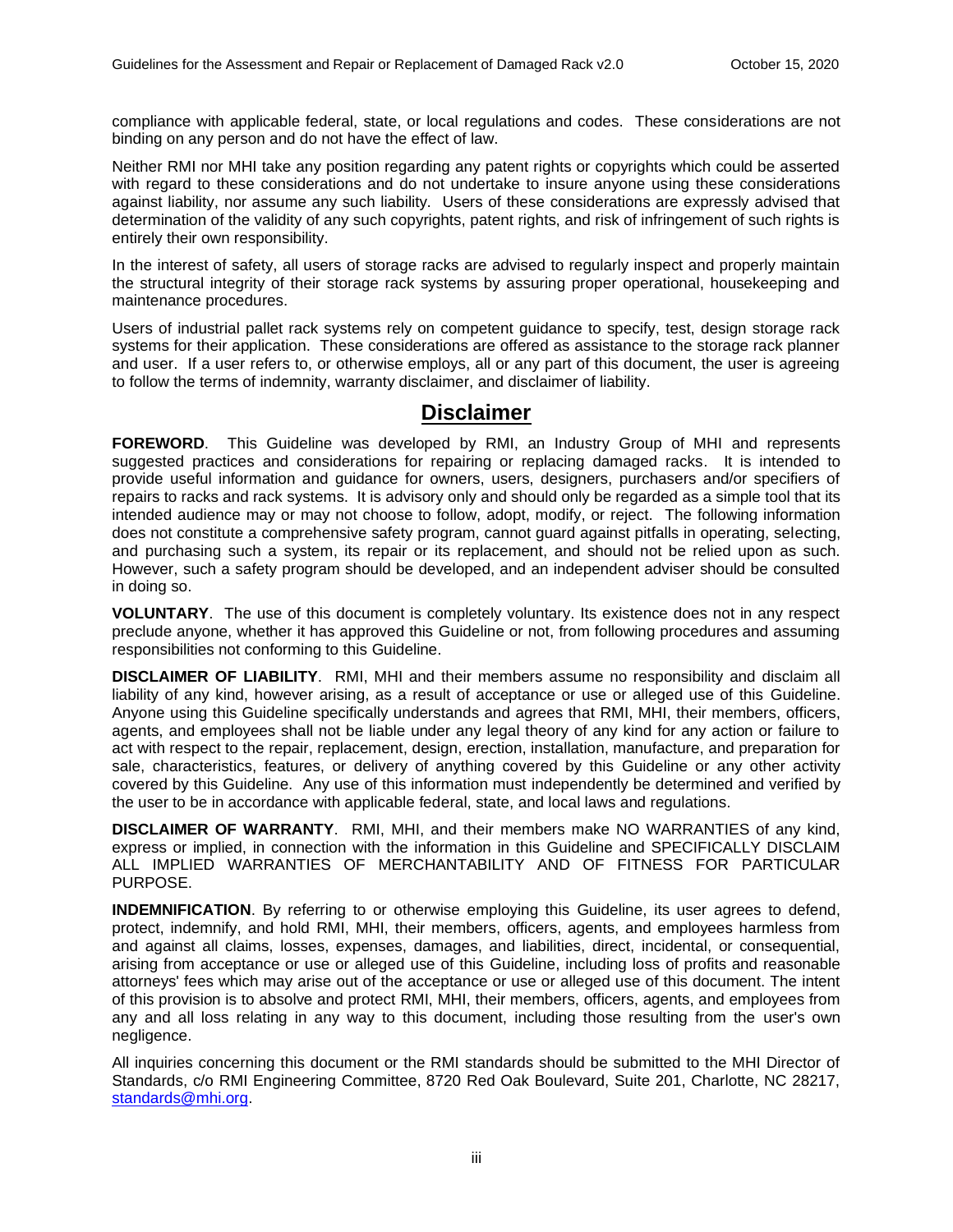compliance with applicable federal, state, or local regulations and codes. These considerations are not binding on any person and do not have the effect of law.

Neither RMI nor MHI take any position regarding any patent rights or copyrights which could be asserted with regard to these considerations and do not undertake to insure anyone using these considerations against liability, nor assume any such liability. Users of these considerations are expressly advised that determination of the validity of any such copyrights, patent rights, and risk of infringement of such rights is entirely their own responsibility.

In the interest of safety, all users of storage racks are advised to regularly inspect and properly maintain the structural integrity of their storage rack systems by assuring proper operational, housekeeping and maintenance procedures.

Users of industrial pallet rack systems rely on competent guidance to specify, test, design storage rack systems for their application. These considerations are offered as assistance to the storage rack planner and user. If a user refers to, or otherwise employs, all or any part of this document, the user is agreeing to follow the terms of indemnity, warranty disclaimer, and disclaimer of liability.

## **Disclaimer**

<span id="page-2-0"></span>**FOREWORD**. This Guideline was developed by RMI, an Industry Group of MHI and represents suggested practices and considerations for repairing or replacing damaged racks. It is intended to provide useful information and guidance for owners, users, designers, purchasers and/or specifiers of repairs to racks and rack systems. It is advisory only and should only be regarded as a simple tool that its intended audience may or may not choose to follow, adopt, modify, or reject. The following information does not constitute a comprehensive safety program, cannot guard against pitfalls in operating, selecting, and purchasing such a system, its repair or its replacement, and should not be relied upon as such. However, such a safety program should be developed, and an independent adviser should be consulted in doing so.

**VOLUNTARY**. The use of this document is completely voluntary. Its existence does not in any respect preclude anyone, whether it has approved this Guideline or not, from following procedures and assuming responsibilities not conforming to this Guideline.

**DISCLAIMER OF LIABILITY**. RMI, MHI and their members assume no responsibility and disclaim all liability of any kind, however arising, as a result of acceptance or use or alleged use of this Guideline. Anyone using this Guideline specifically understands and agrees that RMI, MHI, their members, officers, agents, and employees shall not be liable under any legal theory of any kind for any action or failure to act with respect to the repair, replacement, design, erection, installation, manufacture, and preparation for sale, characteristics, features, or delivery of anything covered by this Guideline or any other activity covered by this Guideline. Any use of this information must independently be determined and verified by the user to be in accordance with applicable federal, state, and local laws and regulations.

**DISCLAIMER OF WARRANTY**. RMI, MHI, and their members make NO WARRANTIES of any kind, express or implied, in connection with the information in this Guideline and SPECIFICALLY DISCLAIM ALL IMPLIED WARRANTIES OF MERCHANTABILITY AND OF FITNESS FOR PARTICULAR PURPOSE.

**INDEMNIFICATION**. By referring to or otherwise employing this Guideline, its user agrees to defend, protect, indemnify, and hold RMI, MHI, their members, officers, agents, and employees harmless from and against all claims, losses, expenses, damages, and liabilities, direct, incidental, or consequential, arising from acceptance or use or alleged use of this Guideline, including loss of profits and reasonable attorneys' fees which may arise out of the acceptance or use or alleged use of this document. The intent of this provision is to absolve and protect RMI, MHI, their members, officers, agents, and employees from any and all loss relating in any way to this document, including those resulting from the user's own negligence.

All inquiries concerning this document or the RMI standards should be submitted to the MHI Director of Standards, c/o RMI Engineering Committee, 8720 Red Oak Boulevard, Suite 201, Charlotte, NC 28217, [standards@mhi.org.](mailto:standards@mhi.org)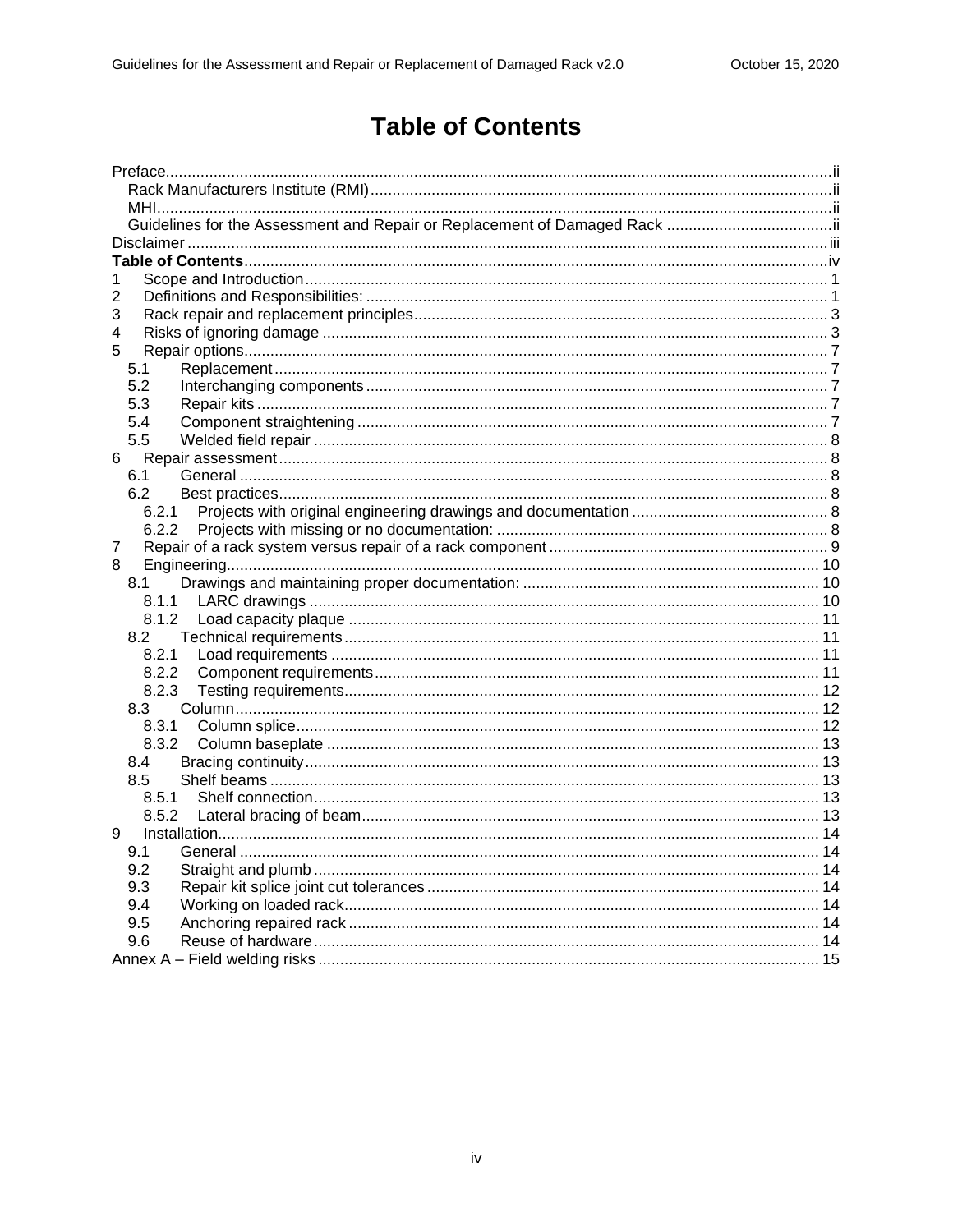# **Table of Contents**

<span id="page-3-0"></span>

| 1      |  |  |
|--------|--|--|
| 2      |  |  |
| 3      |  |  |
| 4      |  |  |
| 5      |  |  |
| 5.1    |  |  |
| 5.2    |  |  |
| 5.3    |  |  |
| 5.4    |  |  |
| 5.5    |  |  |
| 6      |  |  |
| 6.1    |  |  |
| 6.2    |  |  |
| 6.2.1  |  |  |
| 6.2.2  |  |  |
| 7<br>8 |  |  |
| 8.1    |  |  |
| 8.1.1  |  |  |
|        |  |  |
| 8.2    |  |  |
| 8.2.1  |  |  |
| 8.2.2  |  |  |
| 8.2.3  |  |  |
| 8.3    |  |  |
| 8.3.1  |  |  |
|        |  |  |
| 8.4    |  |  |
| 8.5    |  |  |
| 8.5.1  |  |  |
|        |  |  |
| 9      |  |  |
| 9.1    |  |  |
| 9.2    |  |  |
| 9.3    |  |  |
| 9.4    |  |  |
| 9.5    |  |  |
| 9.6    |  |  |
|        |  |  |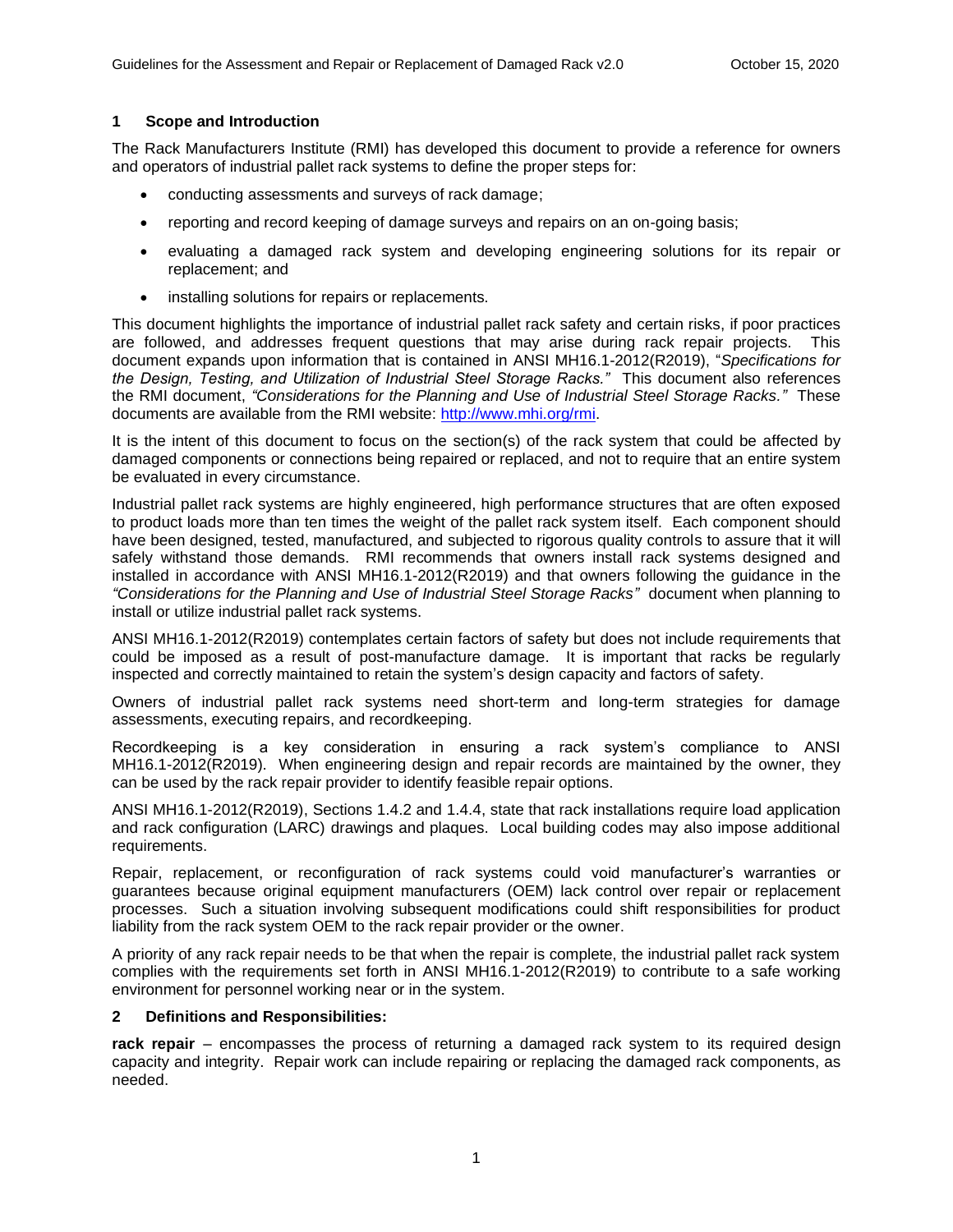## <span id="page-4-0"></span>**1 Scope and Introduction**

The Rack Manufacturers Institute (RMI) has developed this document to provide a reference for owners and operators of industrial pallet rack systems to define the proper steps for:

- conducting assessments and surveys of rack damage;
- reporting and record keeping of damage surveys and repairs on an on-going basis;
- evaluating a damaged rack system and developing engineering solutions for its repair or replacement; and
- installing solutions for repairs or replacements.

This document highlights the importance of industrial pallet rack safety and certain risks, if poor practices are followed, and addresses frequent questions that may arise during rack repair projects. This document expands upon information that is contained in ANSI MH16.1-2012(R2019), "*Specifications for the Design, Testing, and Utilization of Industrial Steel Storage Racks."* This document also references the RMI document, *"Considerations for the Planning and Use of Industrial Steel Storage Racks."* These documents are available from the RMI website: [http://www.mhi.org/rmi.](http://www.mhi.org/rmi)

It is the intent of this document to focus on the section(s) of the rack system that could be affected by damaged components or connections being repaired or replaced, and not to require that an entire system be evaluated in every circumstance.

Industrial pallet rack systems are highly engineered, high performance structures that are often exposed to product loads more than ten times the weight of the pallet rack system itself. Each component should have been designed, tested, manufactured, and subjected to rigorous quality controls to assure that it will safely withstand those demands. RMI recommends that owners install rack systems designed and installed in accordance with ANSI MH16.1-2012(R2019) and that owners following the guidance in the *"Considerations for the Planning and Use of Industrial Steel Storage Racks"* document when planning to install or utilize industrial pallet rack systems.

ANSI MH16.1-2012(R2019) contemplates certain factors of safety but does not include requirements that could be imposed as a result of post-manufacture damage. It is important that racks be regularly inspected and correctly maintained to retain the system's design capacity and factors of safety.

Owners of industrial pallet rack systems need short-term and long-term strategies for damage assessments, executing repairs, and recordkeeping.

Recordkeeping is a key consideration in ensuring a rack system's compliance to ANSI MH16.1-2012(R2019). When engineering design and repair records are maintained by the owner, they can be used by the rack repair provider to identify feasible repair options.

ANSI MH16.1-2012(R2019), Sections 1.4.2 and 1.4.4, state that rack installations require load application and rack configuration (LARC) drawings and plaques. Local building codes may also impose additional requirements.

Repair, replacement, or reconfiguration of rack systems could void manufacturer's warranties or guarantees because original equipment manufacturers (OEM) lack control over repair or replacement processes. Such a situation involving subsequent modifications could shift responsibilities for product liability from the rack system OEM to the rack repair provider or the owner.

A priority of any rack repair needs to be that when the repair is complete, the industrial pallet rack system complies with the requirements set forth in ANSI MH16.1-2012(R2019) to contribute to a safe working environment for personnel working near or in the system.

### <span id="page-4-1"></span>**2 Definitions and Responsibilities:**

**rack repair** – encompasses the process of returning a damaged rack system to its required design capacity and integrity. Repair work can include repairing or replacing the damaged rack components, as needed.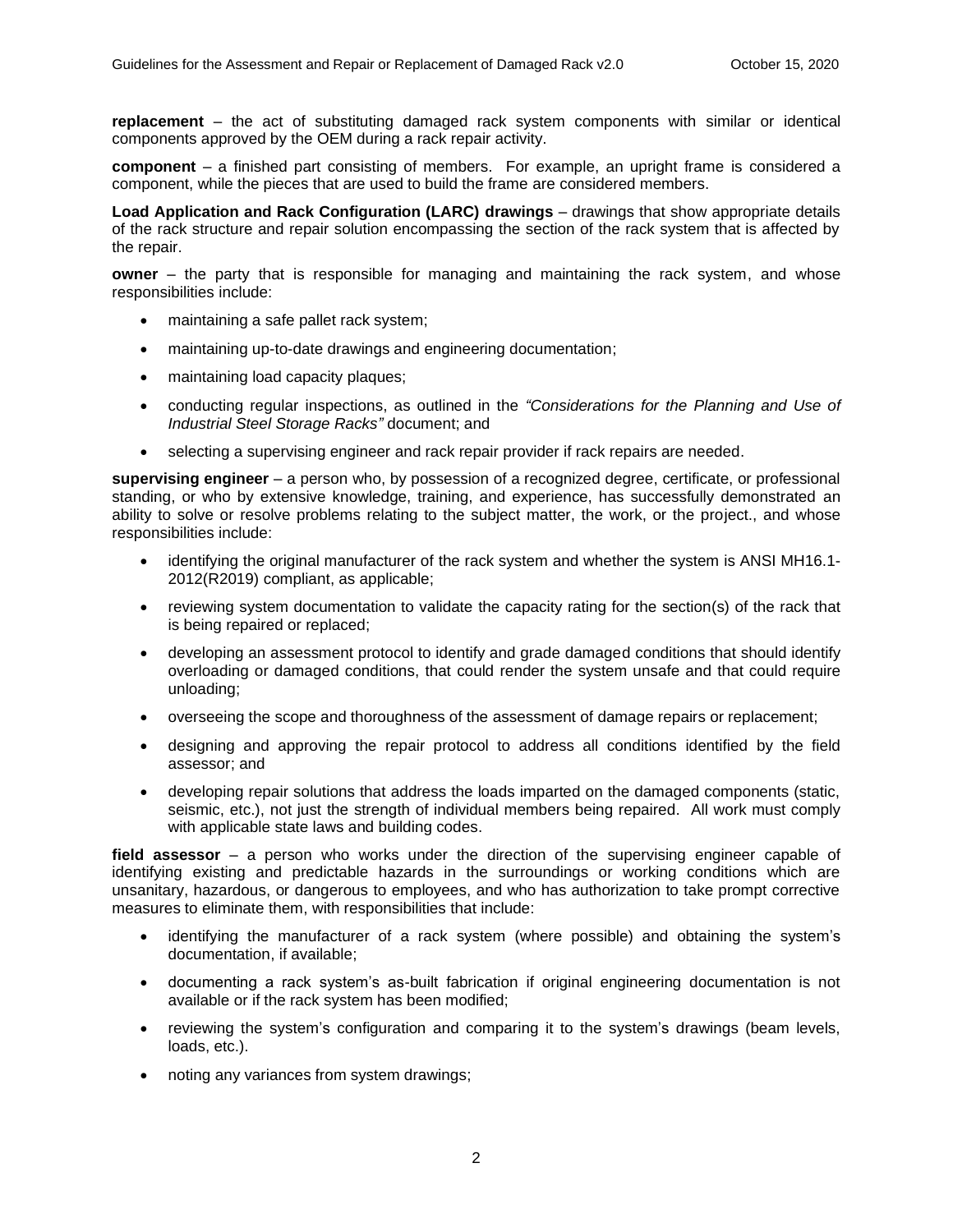**replacement** – the act of substituting damaged rack system components with similar or identical components approved by the OEM during a rack repair activity.

**component** – a finished part consisting of members. For example, an upright frame is considered a component, while the pieces that are used to build the frame are considered members.

**Load Application and Rack Configuration (LARC) drawings** – drawings that show appropriate details of the rack structure and repair solution encompassing the section of the rack system that is affected by the repair.

**owner** – the party that is responsible for managing and maintaining the rack system, and whose responsibilities include:

- maintaining a safe pallet rack system;
- maintaining up-to-date drawings and engineering documentation;
- maintaining load capacity plaques;
- conducting regular inspections, as outlined in the *"Considerations for the Planning and Use of Industrial Steel Storage Racks"* document; and
- selecting a supervising engineer and rack repair provider if rack repairs are needed.

**supervising engineer** – a person who, by possession of a recognized degree, certificate, or professional standing, or who by extensive knowledge, training, and experience, has successfully demonstrated an ability to solve or resolve problems relating to the subject matter, the work, or the project., and whose responsibilities include:

- identifying the original manufacturer of the rack system and whether the system is ANSI MH16.1- 2012(R2019) compliant, as applicable;
- reviewing system documentation to validate the capacity rating for the section(s) of the rack that is being repaired or replaced;
- developing an assessment protocol to identify and grade damaged conditions that should identify overloading or damaged conditions, that could render the system unsafe and that could require unloading;
- overseeing the scope and thoroughness of the assessment of damage repairs or replacement;
- designing and approving the repair protocol to address all conditions identified by the field assessor; and
- developing repair solutions that address the loads imparted on the damaged components (static, seismic, etc.), not just the strength of individual members being repaired. All work must comply with applicable state laws and building codes.

**field assessor** – a person who works under the direction of the supervising engineer capable of identifying existing and predictable hazards in the surroundings or working conditions which are unsanitary, hazardous, or dangerous to employees, and who has authorization to take prompt corrective measures to eliminate them, with responsibilities that include:

- identifying the manufacturer of a rack system (where possible) and obtaining the system's documentation, if available;
- documenting a rack system's as-built fabrication if original engineering documentation is not available or if the rack system has been modified;
- reviewing the system's configuration and comparing it to the system's drawings (beam levels, loads, etc.).
- noting any variances from system drawings;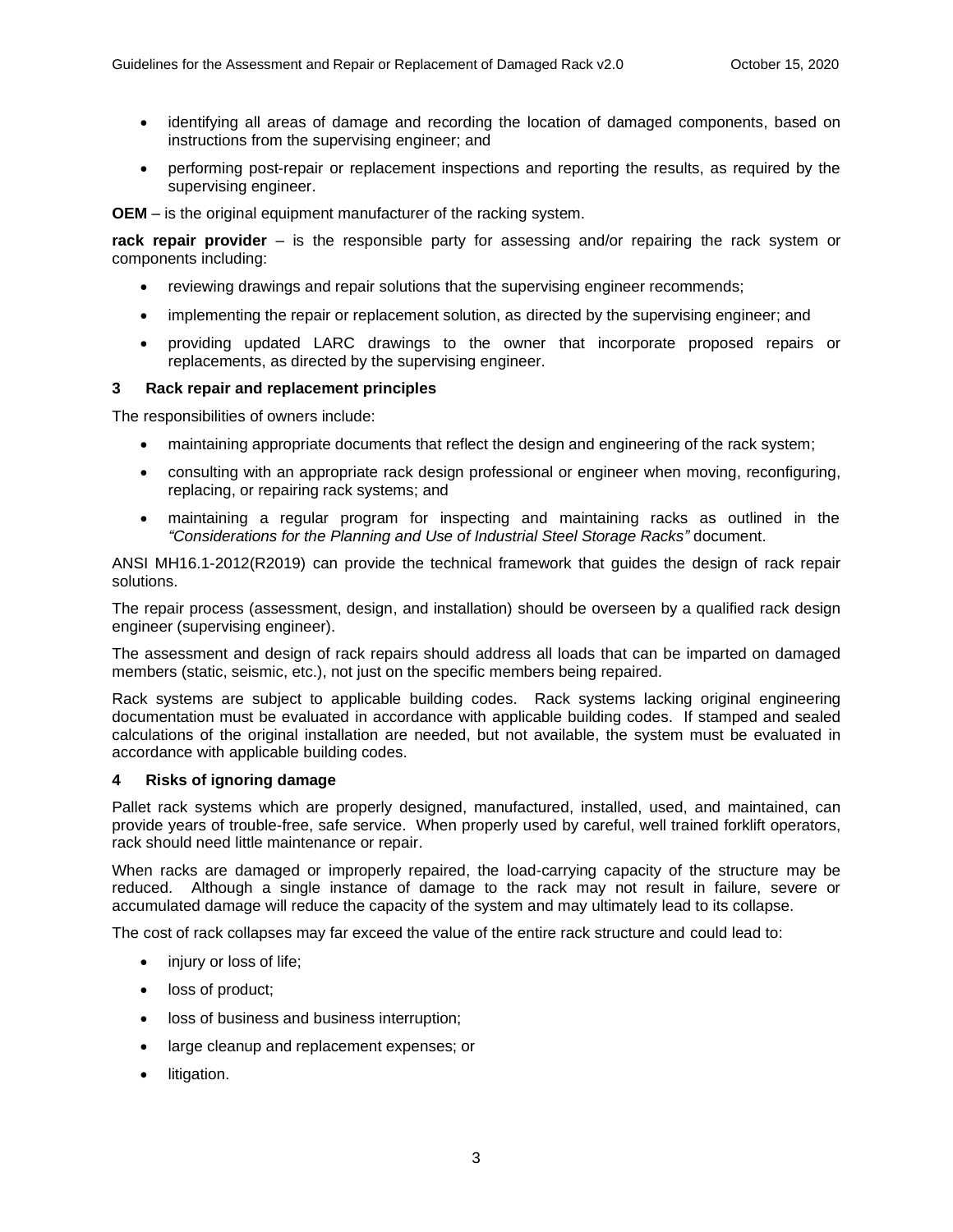- identifying all areas of damage and recording the location of damaged components, based on instructions from the supervising engineer; and
- performing post-repair or replacement inspections and reporting the results, as required by the supervising engineer.

**OEM** – is the original equipment manufacturer of the racking system.

**rack repair provider** – is the responsible party for assessing and/or repairing the rack system or components including:

- reviewing drawings and repair solutions that the supervising engineer recommends;
- implementing the repair or replacement solution, as directed by the supervising engineer; and
- providing updated LARC drawings to the owner that incorporate proposed repairs or replacements, as directed by the supervising engineer.

## <span id="page-6-0"></span>**3 Rack repair and replacement principles**

The responsibilities of owners include:

- maintaining appropriate documents that reflect the design and engineering of the rack system;
- consulting with an appropriate rack design professional or engineer when moving, reconfiguring, replacing, or repairing rack systems; and
- maintaining a regular program for inspecting and maintaining racks as outlined in the *"Considerations for the Planning and Use of Industrial Steel Storage Racks"* document.

ANSI MH16.1-2012(R2019) can provide the technical framework that guides the design of rack repair solutions.

The repair process (assessment, design, and installation) should be overseen by a qualified rack design engineer (supervising engineer).

The assessment and design of rack repairs should address all loads that can be imparted on damaged members (static, seismic, etc.), not just on the specific members being repaired.

Rack systems are subject to applicable building codes. Rack systems lacking original engineering documentation must be evaluated in accordance with applicable building codes. If stamped and sealed calculations of the original installation are needed, but not available, the system must be evaluated in accordance with applicable building codes.

### <span id="page-6-1"></span>**4 Risks of ignoring damage**

Pallet rack systems which are properly designed, manufactured, installed, used, and maintained, can provide years of trouble-free, safe service. When properly used by careful, well trained forklift operators, rack should need little maintenance or repair.

When racks are damaged or improperly repaired, the load-carrying capacity of the structure may be reduced. Although a single instance of damage to the rack may not result in failure, severe or accumulated damage will reduce the capacity of the system and may ultimately lead to its collapse.

The cost of rack collapses may far exceed the value of the entire rack structure and could lead to:

- injury or loss of life;
- loss of product;
- loss of business and business interruption;
- large cleanup and replacement expenses; or
- litigation.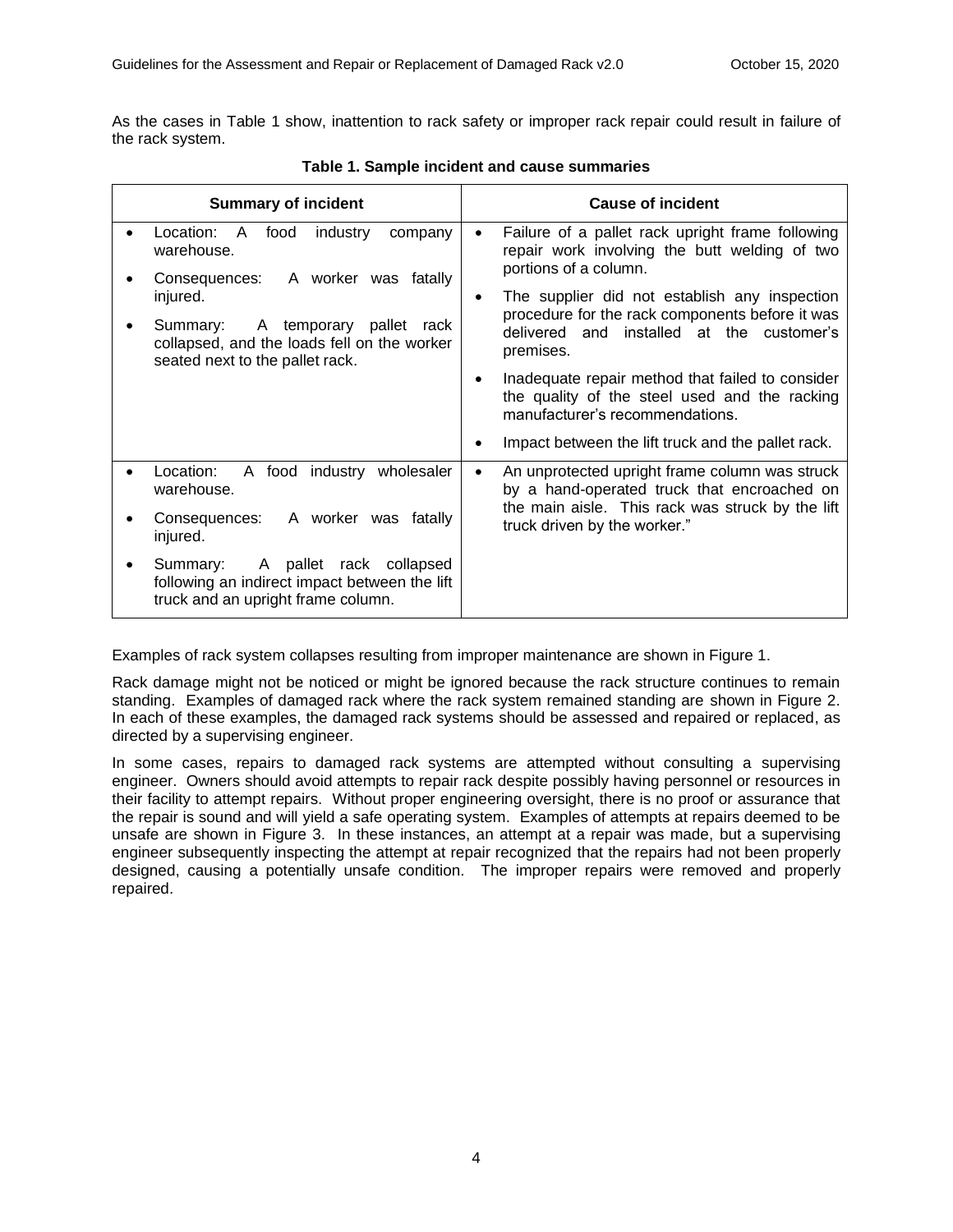As the cases in Table 1 show, inattention to rack safety or improper rack repair could result in failure of the rack system.

| <b>Summary of incident</b>                                                                                                 | <b>Cause of incident</b>                                                                                                                                                               |
|----------------------------------------------------------------------------------------------------------------------------|----------------------------------------------------------------------------------------------------------------------------------------------------------------------------------------|
| Location:<br>industry<br>A<br>food<br>company<br>warehouse.                                                                | Failure of a pallet rack upright frame following<br>٠<br>repair work involving the butt welding of two                                                                                 |
| A worker was fatally<br>Consequences:<br>injured.                                                                          | portions of a column.<br>The supplier did not establish any inspection                                                                                                                 |
| A temporary<br>pallet rack<br>Summary:<br>collapsed, and the loads fell on the worker<br>seated next to the pallet rack.   | procedure for the rack components before it was<br>delivered and installed at the customer's<br>premises.                                                                              |
|                                                                                                                            | Inadequate repair method that failed to consider<br>the quality of the steel used and the racking<br>manufacturer's recommendations.                                                   |
|                                                                                                                            | Impact between the lift truck and the pallet rack.                                                                                                                                     |
| Location:<br>A food industry wholesaler<br>warehouse.                                                                      | An unprotected upright frame column was struck<br>٠<br>by a hand-operated truck that encroached on<br>the main aisle. This rack was struck by the lift<br>truck driven by the worker." |
| Consequences: A worker was fatally<br>injured.                                                                             |                                                                                                                                                                                        |
| A pallet rack collapsed<br>Summary:<br>following an indirect impact between the lift<br>truck and an upright frame column. |                                                                                                                                                                                        |

**Table 1. Sample incident and cause summaries**

Examples of rack system collapses resulting from improper maintenance are shown in Figure 1.

Rack damage might not be noticed or might be ignored because the rack structure continues to remain standing. Examples of damaged rack where the rack system remained standing are shown in Figure 2. In each of these examples, the damaged rack systems should be assessed and repaired or replaced, as directed by a supervising engineer.

In some cases, repairs to damaged rack systems are attempted without consulting a supervising engineer. Owners should avoid attempts to repair rack despite possibly having personnel or resources in their facility to attempt repairs. Without proper engineering oversight, there is no proof or assurance that the repair is sound and will yield a safe operating system. Examples of attempts at repairs deemed to be unsafe are shown in Figure 3. In these instances, an attempt at a repair was made, but a supervising engineer subsequently inspecting the attempt at repair recognized that the repairs had not been properly designed, causing a potentially unsafe condition. The improper repairs were removed and properly repaired.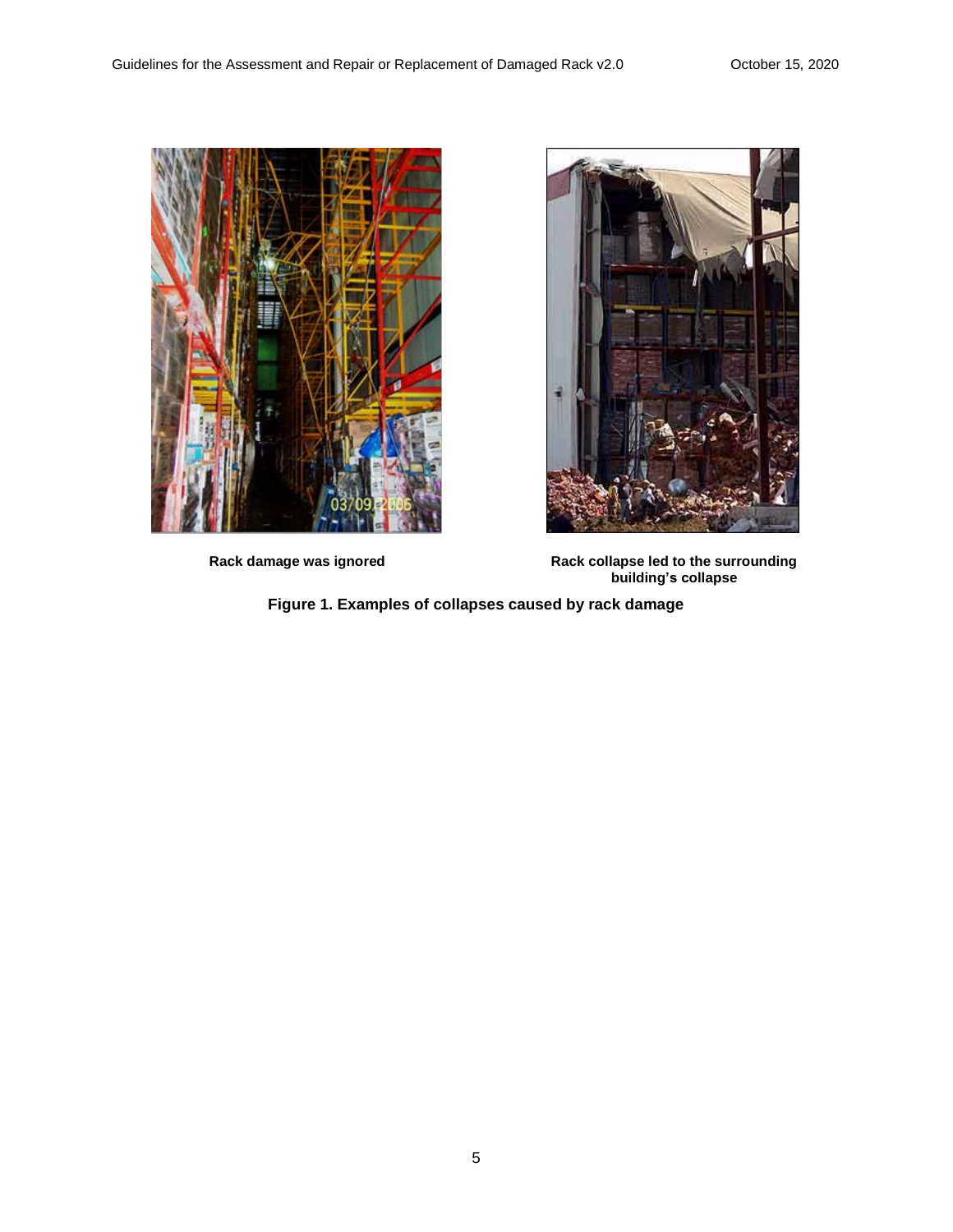



**Rack damage was ignored Rack collapse led to the surrounding building's collapse**

**Figure 1. Examples of collapses caused by rack damage**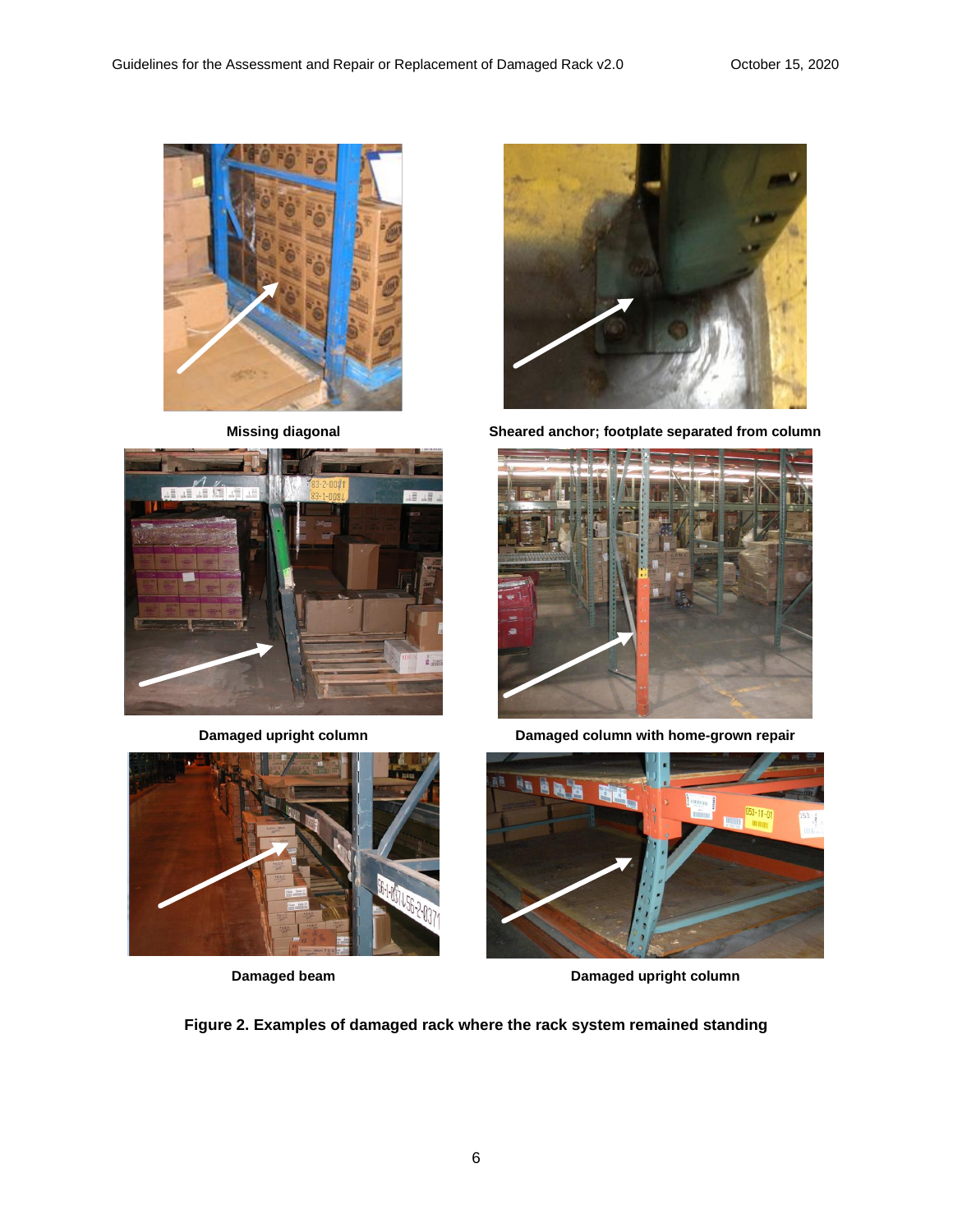







**Missing diagonal Sheared anchor; footplate separated from column**



**Damaged upright column Damaged column with home-grown repair**



**Damaged beam Damaged upright column** 

**Figure 2. Examples of damaged rack where the rack system remained standing**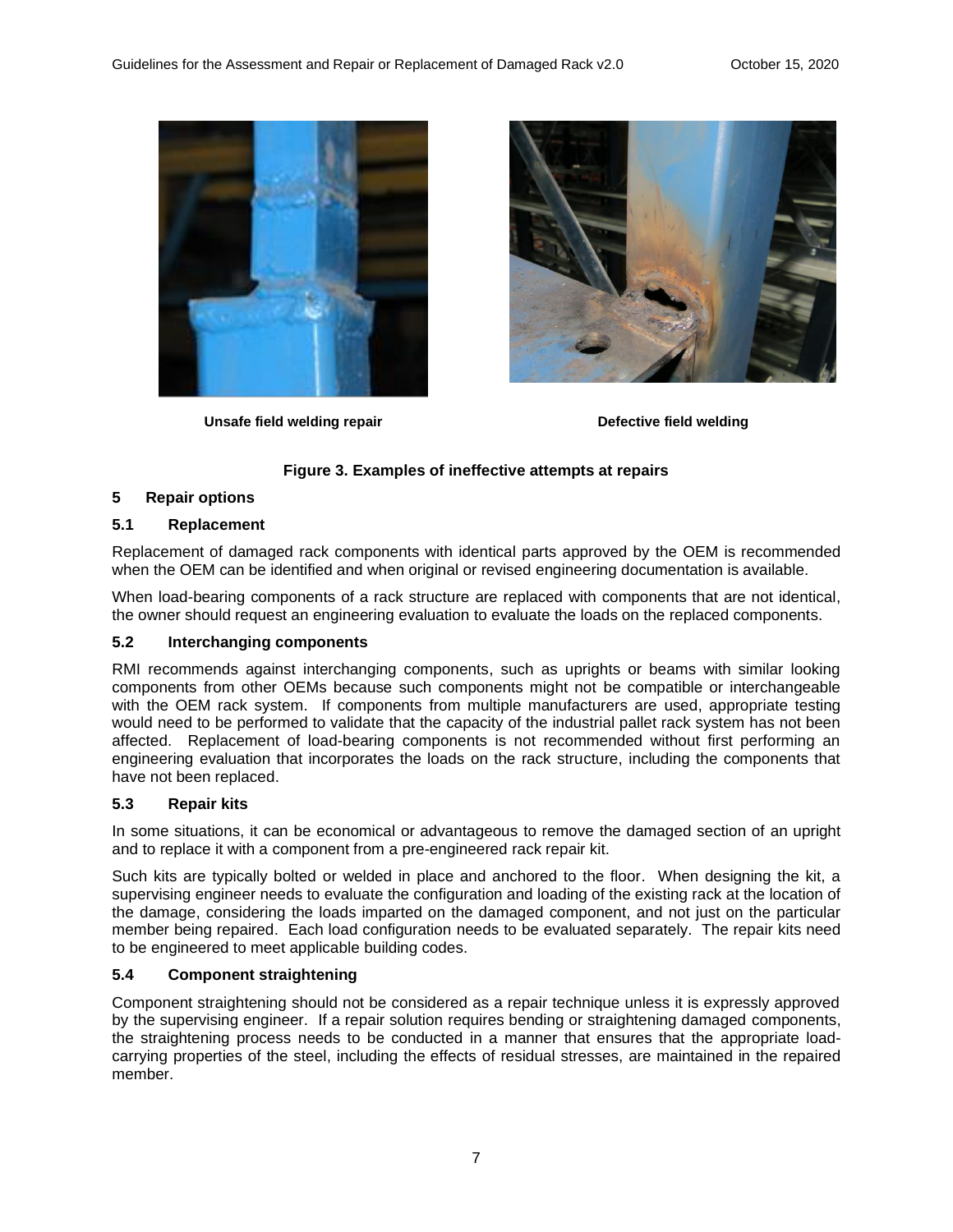

**Unsafe field welding repair Defective field welding**



## **Figure 3. Examples of ineffective attempts at repairs**

## <span id="page-10-0"></span>**5 Repair options**

## <span id="page-10-1"></span>**5.1 Replacement**

Replacement of damaged rack components with identical parts approved by the OEM is recommended when the OEM can be identified and when original or revised engineering documentation is available.

When load-bearing components of a rack structure are replaced with components that are not identical, the owner should request an engineering evaluation to evaluate the loads on the replaced components.

### <span id="page-10-2"></span>**5.2 Interchanging components**

RMI recommends against interchanging components, such as uprights or beams with similar looking components from other OEMs because such components might not be compatible or interchangeable with the OEM rack system. If components from multiple manufacturers are used, appropriate testing would need to be performed to validate that the capacity of the industrial pallet rack system has not been affected. Replacement of load-bearing components is not recommended without first performing an engineering evaluation that incorporates the loads on the rack structure, including the components that have not been replaced.

## <span id="page-10-3"></span>**5.3 Repair kits**

In some situations, it can be economical or advantageous to remove the damaged section of an upright and to replace it with a component from a pre-engineered rack repair kit.

Such kits are typically bolted or welded in place and anchored to the floor. When designing the kit, a supervising engineer needs to evaluate the configuration and loading of the existing rack at the location of the damage, considering the loads imparted on the damaged component, and not just on the particular member being repaired. Each load configuration needs to be evaluated separately. The repair kits need to be engineered to meet applicable building codes.

## <span id="page-10-4"></span>**5.4 Component straightening**

Component straightening should not be considered as a repair technique unless it is expressly approved by the supervising engineer. If a repair solution requires bending or straightening damaged components, the straightening process needs to be conducted in a manner that ensures that the appropriate loadcarrying properties of the steel, including the effects of residual stresses, are maintained in the repaired member.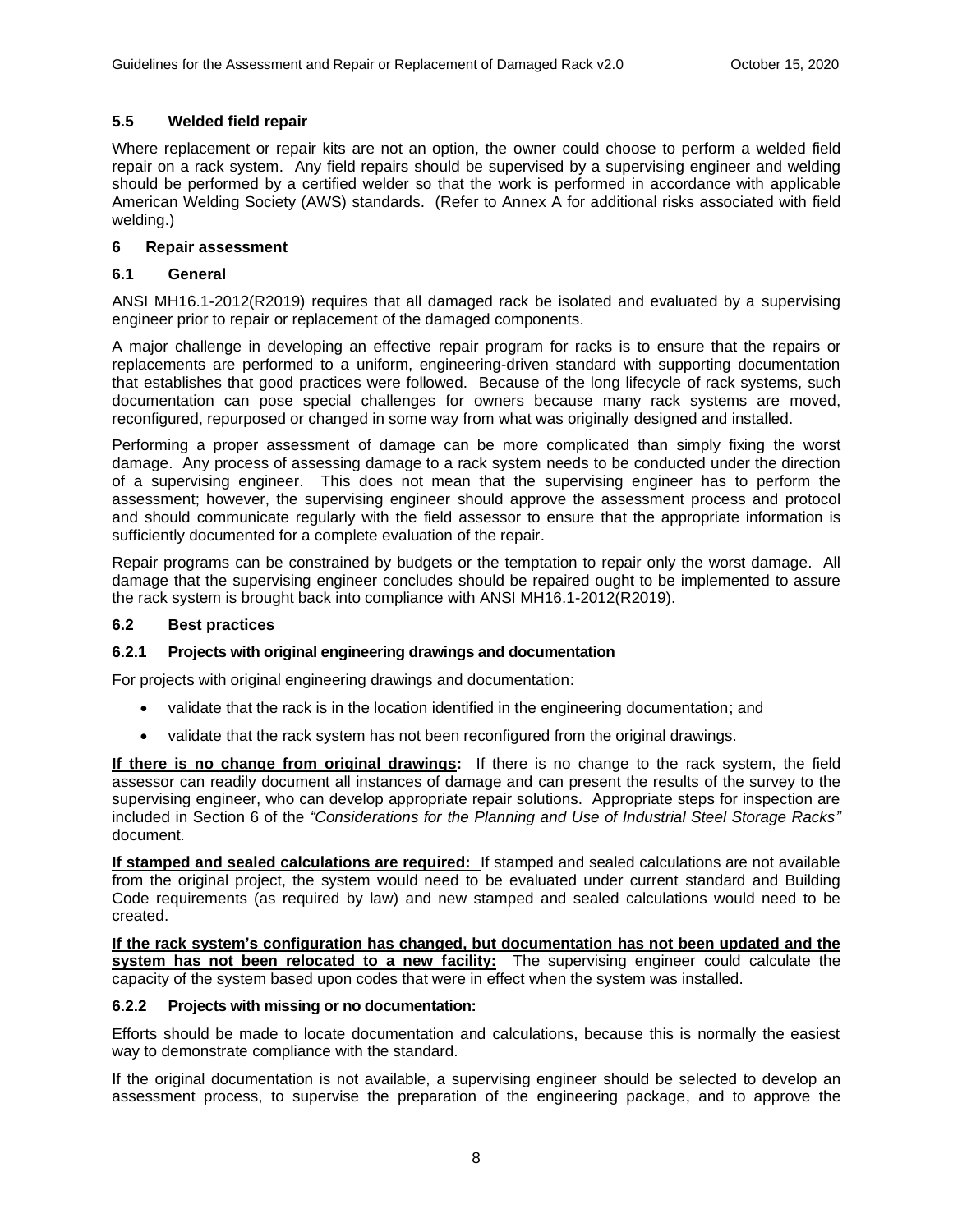## <span id="page-11-0"></span>**5.5 Welded field repair**

Where replacement or repair kits are not an option, the owner could choose to perform a welded field repair on a rack system. Any field repairs should be supervised by a supervising engineer and welding should be performed by a certified welder so that the work is performed in accordance with applicable American Welding Society (AWS) standards. (Refer to Annex A for additional risks associated with field welding.)

## <span id="page-11-1"></span>**6 Repair assessment**

## <span id="page-11-2"></span>**6.1 General**

ANSI MH16.1-2012(R2019) requires that all damaged rack be isolated and evaluated by a supervising engineer prior to repair or replacement of the damaged components.

A major challenge in developing an effective repair program for racks is to ensure that the repairs or replacements are performed to a uniform, engineering-driven standard with supporting documentation that establishes that good practices were followed. Because of the long lifecycle of rack systems, such documentation can pose special challenges for owners because many rack systems are moved, reconfigured, repurposed or changed in some way from what was originally designed and installed.

Performing a proper assessment of damage can be more complicated than simply fixing the worst damage. Any process of assessing damage to a rack system needs to be conducted under the direction of a supervising engineer. This does not mean that the supervising engineer has to perform the assessment; however, the supervising engineer should approve the assessment process and protocol and should communicate regularly with the field assessor to ensure that the appropriate information is sufficiently documented for a complete evaluation of the repair.

Repair programs can be constrained by budgets or the temptation to repair only the worst damage. All damage that the supervising engineer concludes should be repaired ought to be implemented to assure the rack system is brought back into compliance with ANSI MH16.1-2012(R2019).

### <span id="page-11-3"></span>**6.2 Best practices**

### <span id="page-11-4"></span>**6.2.1 Projects with original engineering drawings and documentation**

For projects with original engineering drawings and documentation:

- validate that the rack is in the location identified in the engineering documentation; and
- validate that the rack system has not been reconfigured from the original drawings.

**If there is no change from original drawings:** If there is no change to the rack system, the field assessor can readily document all instances of damage and can present the results of the survey to the supervising engineer, who can develop appropriate repair solutions. Appropriate steps for inspection are included in Section 6 of the *"Considerations for the Planning and Use of Industrial Steel Storage Racks"* document.

**If stamped and sealed calculations are required:** If stamped and sealed calculations are not available from the original project, the system would need to be evaluated under current standard and Building Code requirements (as required by law) and new stamped and sealed calculations would need to be created.

**If the rack system's configuration has changed, but documentation has not been updated and the system has not been relocated to a new facility:** The supervising engineer could calculate the capacity of the system based upon codes that were in effect when the system was installed.

### <span id="page-11-5"></span>**6.2.2 Projects with missing or no documentation:**

Efforts should be made to locate documentation and calculations, because this is normally the easiest way to demonstrate compliance with the standard.

If the original documentation is not available, a supervising engineer should be selected to develop an assessment process, to supervise the preparation of the engineering package, and to approve the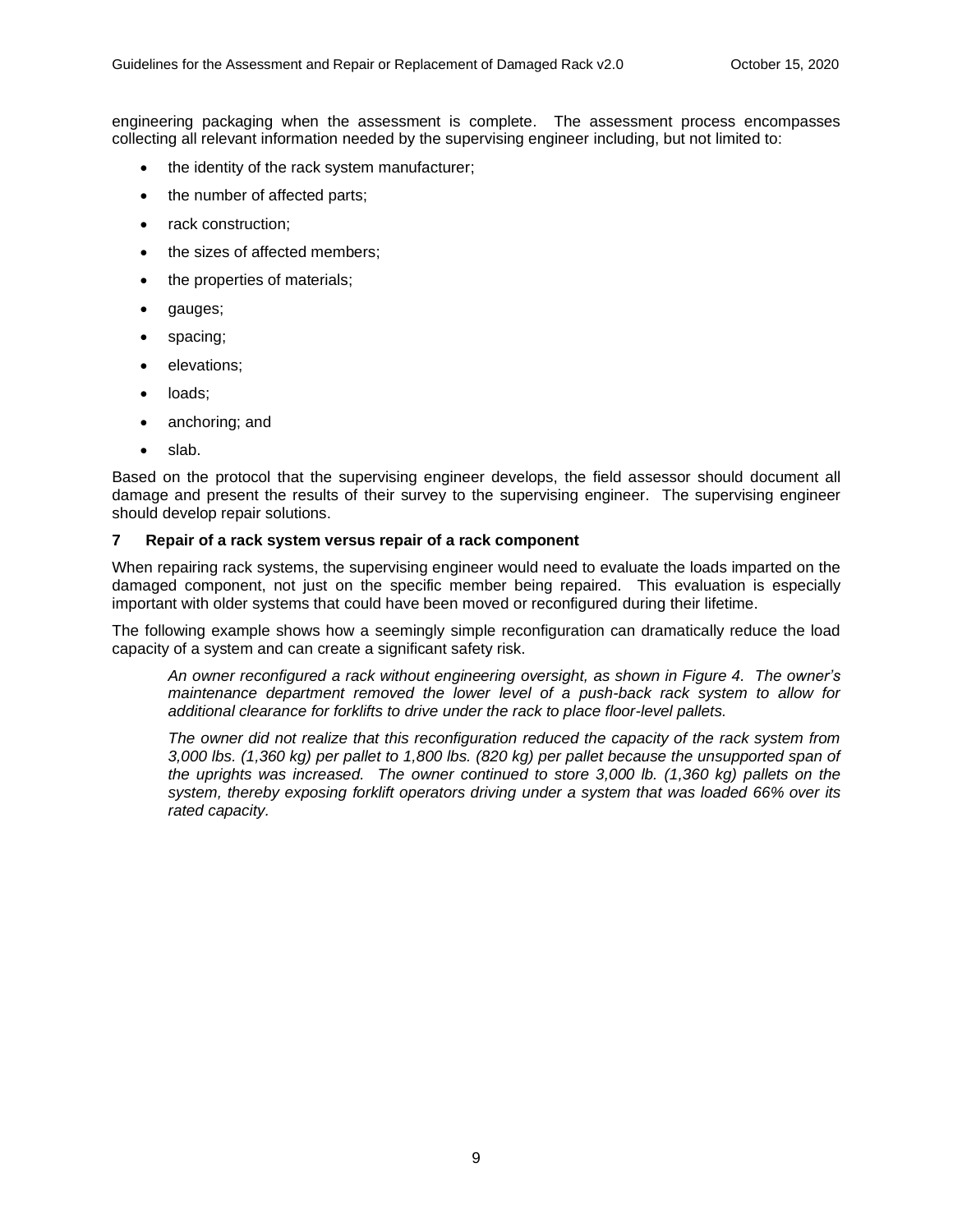engineering packaging when the assessment is complete. The assessment process encompasses collecting all relevant information needed by the supervising engineer including, but not limited to:

- the identity of the rack system manufacturer;
- the number of affected parts;
- rack construction;
- the sizes of affected members;
- the properties of materials;
- gauges;
- spacing;
- elevations;
- loads;
- anchoring; and
- slab.

Based on the protocol that the supervising engineer develops, the field assessor should document all damage and present the results of their survey to the supervising engineer. The supervising engineer should develop repair solutions.

### <span id="page-12-0"></span>**7 Repair of a rack system versus repair of a rack component**

When repairing rack systems, the supervising engineer would need to evaluate the loads imparted on the damaged component, not just on the specific member being repaired. This evaluation is especially important with older systems that could have been moved or reconfigured during their lifetime.

The following example shows how a seemingly simple reconfiguration can dramatically reduce the load capacity of a system and can create a significant safety risk.

*An owner reconfigured a rack without engineering oversight, as shown in Figure 4. The owner's maintenance department removed the lower level of a push-back rack system to allow for additional clearance for forklifts to drive under the rack to place floor-level pallets.* 

*The owner did not realize that this reconfiguration reduced the capacity of the rack system from 3,000 lbs. (1,360 kg) per pallet to 1,800 lbs. (820 kg) per pallet because the unsupported span of the uprights was increased. The owner continued to store 3,000 lb. (1,360 kg) pallets on the system, thereby exposing forklift operators driving under a system that was loaded 66% over its rated capacity.*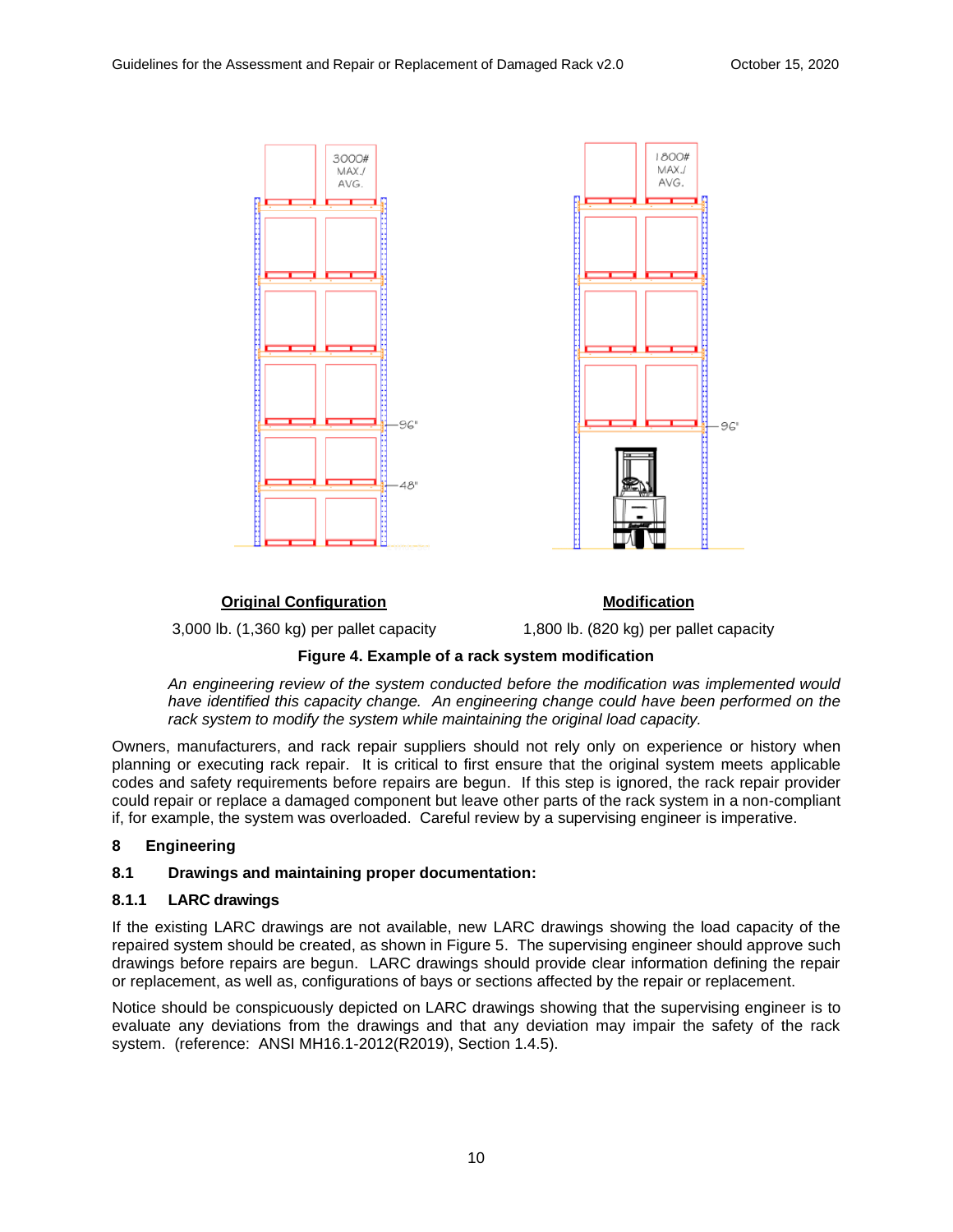

## **Original Configuration**

3,000 lb. (1,360 kg) per pallet capacity

**Modification**

1,800 lb. (820 kg) per pallet capacity

## **Figure 4. Example of a rack system modification**

*An engineering review of the system conducted before the modification was implemented would have identified this capacity change. An engineering change could have been performed on the rack system to modify the system while maintaining the original load capacity.* 

Owners, manufacturers, and rack repair suppliers should not rely only on experience or history when planning or executing rack repair. It is critical to first ensure that the original system meets applicable codes and safety requirements before repairs are begun. If this step is ignored, the rack repair provider could repair or replace a damaged component but leave other parts of the rack system in a non-compliant if, for example, the system was overloaded. Careful review by a supervising engineer is imperative.

## <span id="page-13-0"></span>**8 Engineering**

## <span id="page-13-1"></span>**8.1 Drawings and maintaining proper documentation:**

### <span id="page-13-2"></span>**8.1.1 LARC drawings**

If the existing LARC drawings are not available, new LARC drawings showing the load capacity of the repaired system should be created, as shown in Figure 5. The supervising engineer should approve such drawings before repairs are begun. LARC drawings should provide clear information defining the repair or replacement, as well as, configurations of bays or sections affected by the repair or replacement.

Notice should be conspicuously depicted on LARC drawings showing that the supervising engineer is to evaluate any deviations from the drawings and that any deviation may impair the safety of the rack system. (reference: ANSI MH16.1-2012(R2019), Section 1.4.5).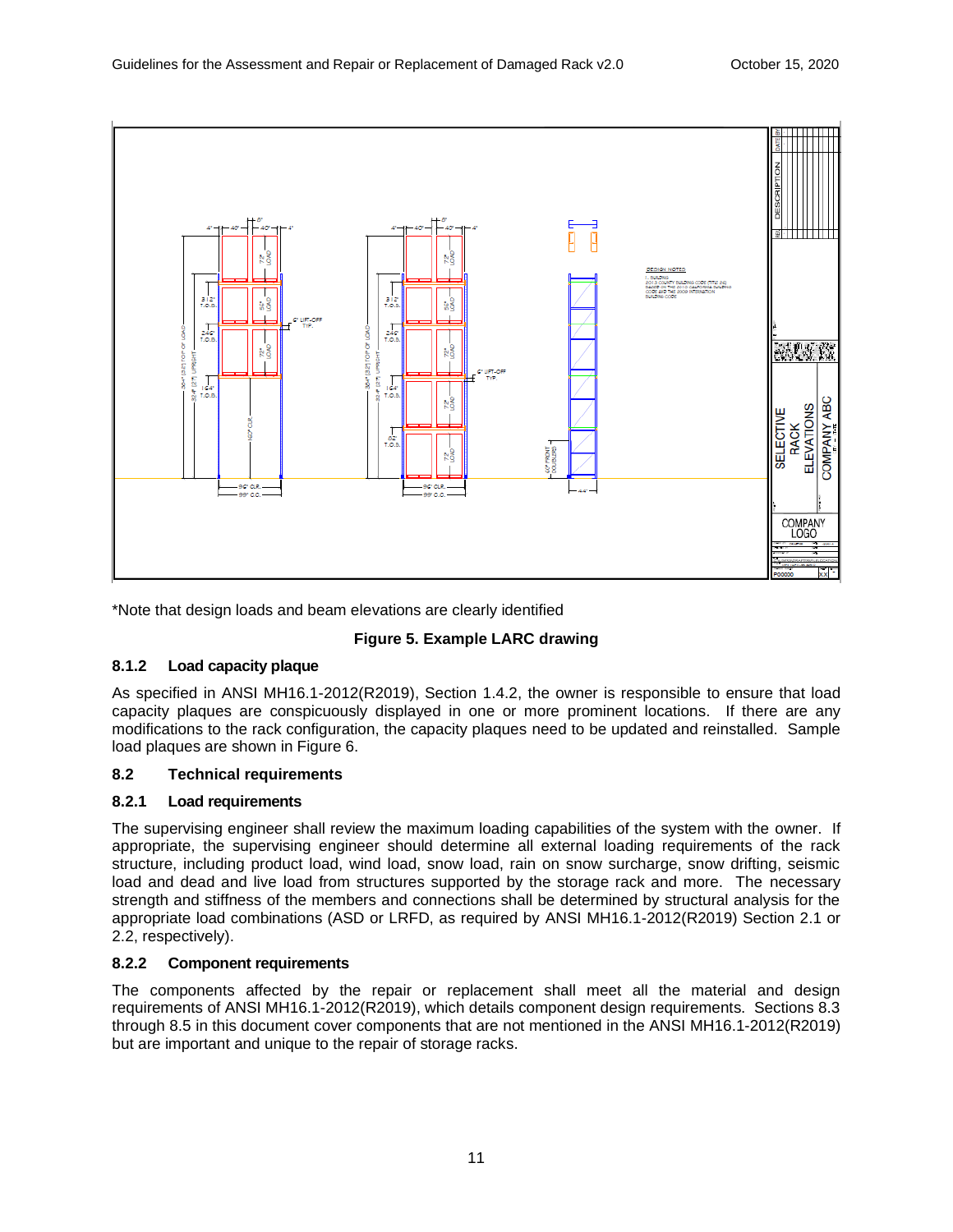

\*Note that design loads and beam elevations are clearly identified

## **Figure 5. Example LARC drawing**

## <span id="page-14-0"></span>**8.1.2 Load capacity plaque**

As specified in ANSI MH16.1-2012(R2019), Section 1.4.2, the owner is responsible to ensure that load capacity plaques are conspicuously displayed in one or more prominent locations. If there are any modifications to the rack configuration, the capacity plaques need to be updated and reinstalled. Sample load plaques are shown in Figure 6.

## <span id="page-14-1"></span>**8.2 Technical requirements**

### <span id="page-14-2"></span>**8.2.1 Load requirements**

The supervising engineer shall review the maximum loading capabilities of the system with the owner. If appropriate, the supervising engineer should determine all external loading requirements of the rack structure, including product load, wind load, snow load, rain on snow surcharge, snow drifting, seismic load and dead and live load from structures supported by the storage rack and more. The necessary strength and stiffness of the members and connections shall be determined by structural analysis for the appropriate load combinations (ASD or LRFD, as required by ANSI MH16.1-2012(R2019) Section 2.1 or 2.2, respectively).

## <span id="page-14-3"></span>**8.2.2 Component requirements**

The components affected by the repair or replacement shall meet all the material and design requirements of ANSI MH16.1-2012(R2019), which details component design requirements. Sections 8.3 through 8.5 in this document cover components that are not mentioned in the ANSI MH16.1-2012(R2019) but are important and unique to the repair of storage racks.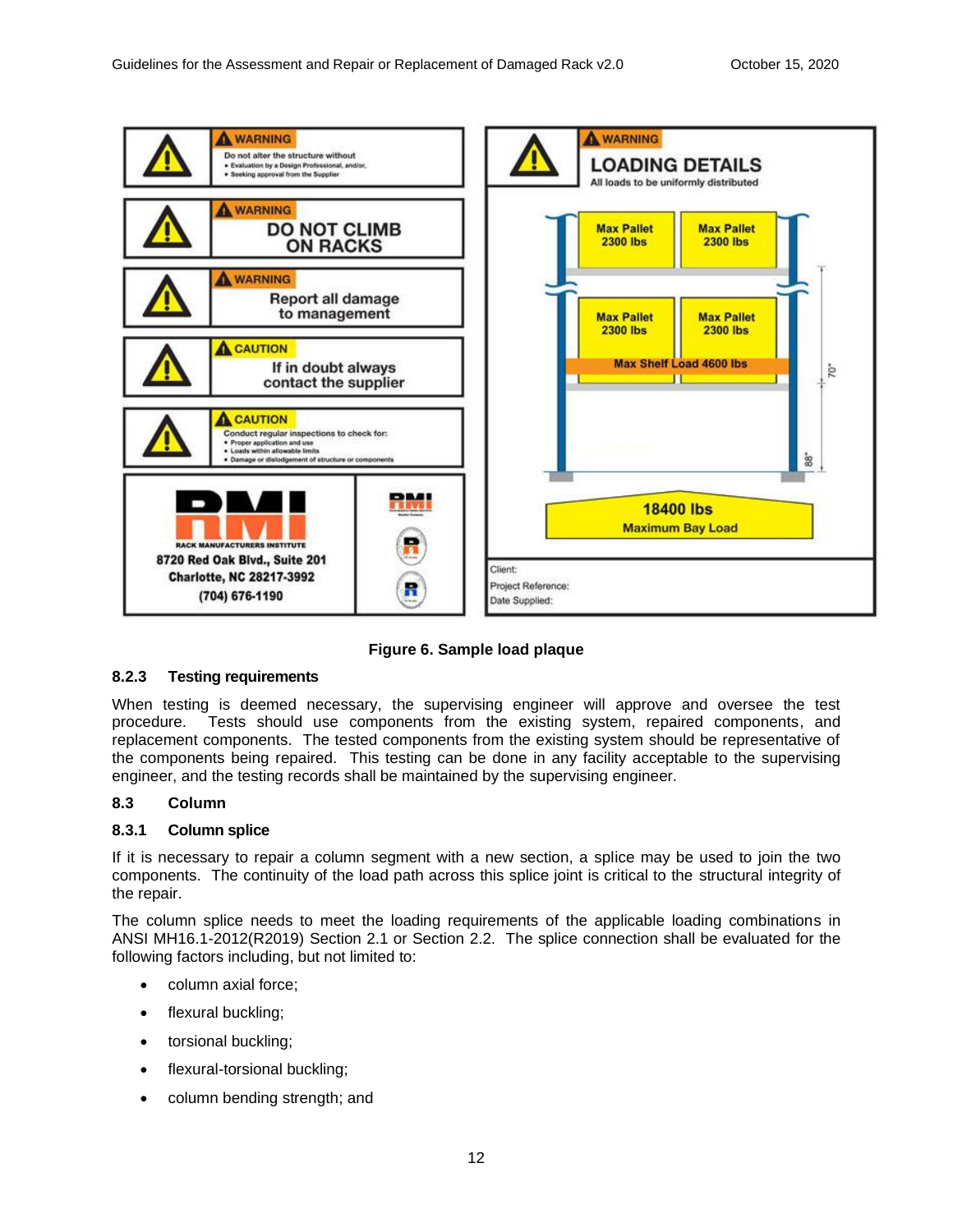

## **Figure 6. Sample load plaque**

### <span id="page-15-0"></span>**8.2.3 Testing requirements**

When testing is deemed necessary, the supervising engineer will approve and oversee the test procedure. Tests should use components from the existing system, repaired components, and replacement components. The tested components from the existing system should be representative of the components being repaired. This testing can be done in any facility acceptable to the supervising engineer, and the testing records shall be maintained by the supervising engineer.

### <span id="page-15-1"></span>**8.3 Column**

### <span id="page-15-2"></span>**8.3.1 Column splice**

If it is necessary to repair a column segment with a new section, a splice may be used to join the two components. The continuity of the load path across this splice joint is critical to the structural integrity of the repair.

The column splice needs to meet the loading requirements of the applicable loading combinations in ANSI MH16.1-2012(R2019) Section 2.1 or Section 2.2. The splice connection shall be evaluated for the following factors including, but not limited to:

- column axial force;
- flexural buckling;
- torsional buckling;
- flexural-torsional buckling;
- column bending strength; and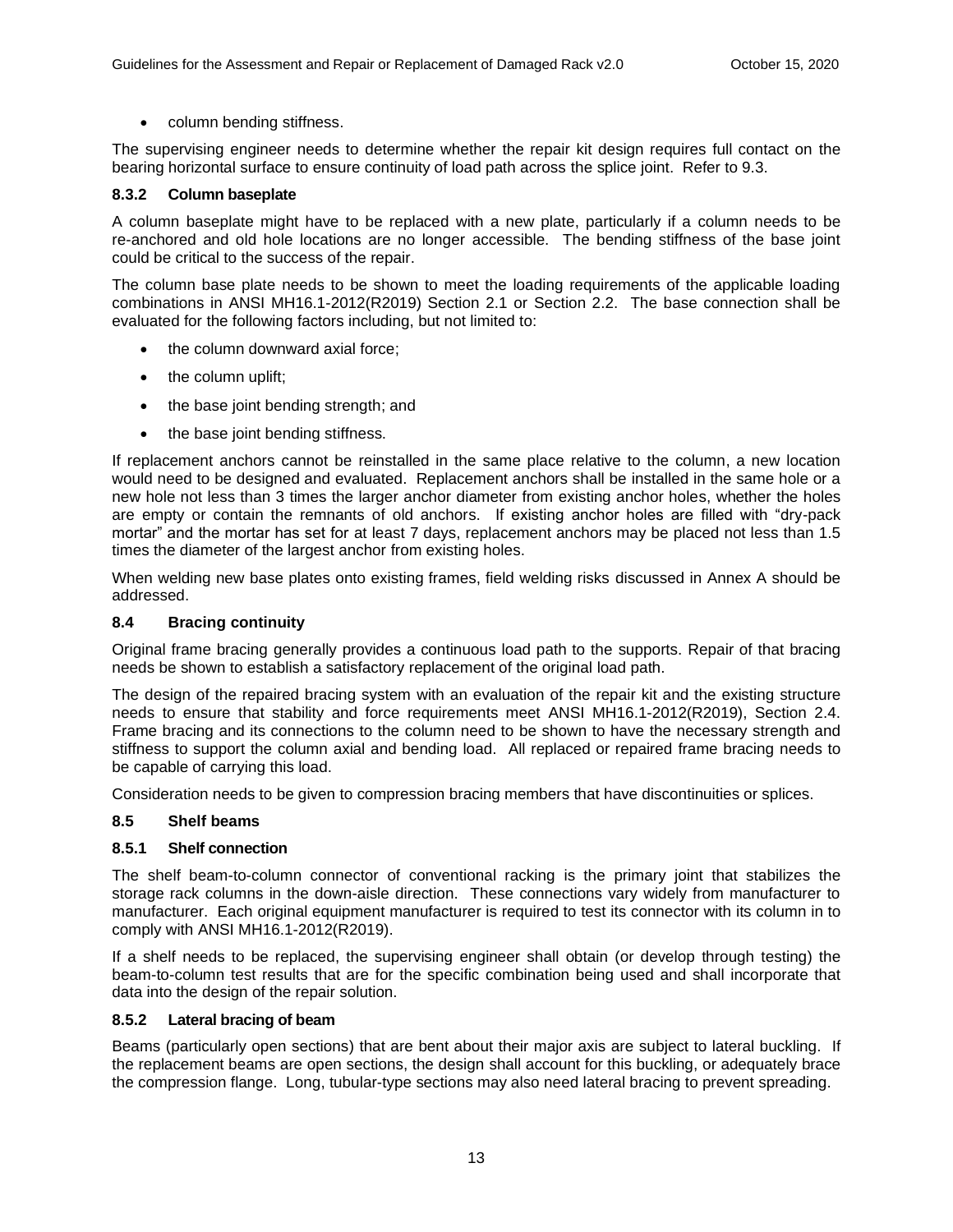• column bending stiffness.

The supervising engineer needs to determine whether the repair kit design requires full contact on the bearing horizontal surface to ensure continuity of load path across the splice joint. Refer to 9.3.

## <span id="page-16-0"></span>**8.3.2 Column baseplate**

A column baseplate might have to be replaced with a new plate, particularly if a column needs to be re-anchored and old hole locations are no longer accessible. The bending stiffness of the base joint could be critical to the success of the repair.

The column base plate needs to be shown to meet the loading requirements of the applicable loading combinations in ANSI MH16.1-2012(R2019) Section 2.1 or Section 2.2. The base connection shall be evaluated for the following factors including, but not limited to:

- the column downward axial force;
- the column uplift;
- the base joint bending strength; and
- the base joint bending stiffness.

If replacement anchors cannot be reinstalled in the same place relative to the column, a new location would need to be designed and evaluated. Replacement anchors shall be installed in the same hole or a new hole not less than 3 times the larger anchor diameter from existing anchor holes, whether the holes are empty or contain the remnants of old anchors. If existing anchor holes are filled with "dry-pack mortar" and the mortar has set for at least 7 days, replacement anchors may be placed not less than 1.5 times the diameter of the largest anchor from existing holes.

When welding new base plates onto existing frames, field welding risks discussed in Annex A should be addressed.

## <span id="page-16-1"></span>**8.4 Bracing continuity**

Original frame bracing generally provides a continuous load path to the supports. Repair of that bracing needs be shown to establish a satisfactory replacement of the original load path.

The design of the repaired bracing system with an evaluation of the repair kit and the existing structure needs to ensure that stability and force requirements meet ANSI MH16.1-2012(R2019), Section 2.4. Frame bracing and its connections to the column need to be shown to have the necessary strength and stiffness to support the column axial and bending load. All replaced or repaired frame bracing needs to be capable of carrying this load.

Consideration needs to be given to compression bracing members that have discontinuities or splices.

### <span id="page-16-2"></span>**8.5 Shelf beams**

## <span id="page-16-3"></span>**8.5.1 Shelf connection**

The shelf beam-to-column connector of conventional racking is the primary joint that stabilizes the storage rack columns in the down-aisle direction. These connections vary widely from manufacturer to manufacturer. Each original equipment manufacturer is required to test its connector with its column in to comply with ANSI MH16.1-2012(R2019).

If a shelf needs to be replaced, the supervising engineer shall obtain (or develop through testing) the beam-to-column test results that are for the specific combination being used and shall incorporate that data into the design of the repair solution.

### <span id="page-16-4"></span>**8.5.2 Lateral bracing of beam**

Beams (particularly open sections) that are bent about their major axis are subject to lateral buckling. If the replacement beams are open sections, the design shall account for this buckling, or adequately brace the compression flange. Long, tubular-type sections may also need lateral bracing to prevent spreading.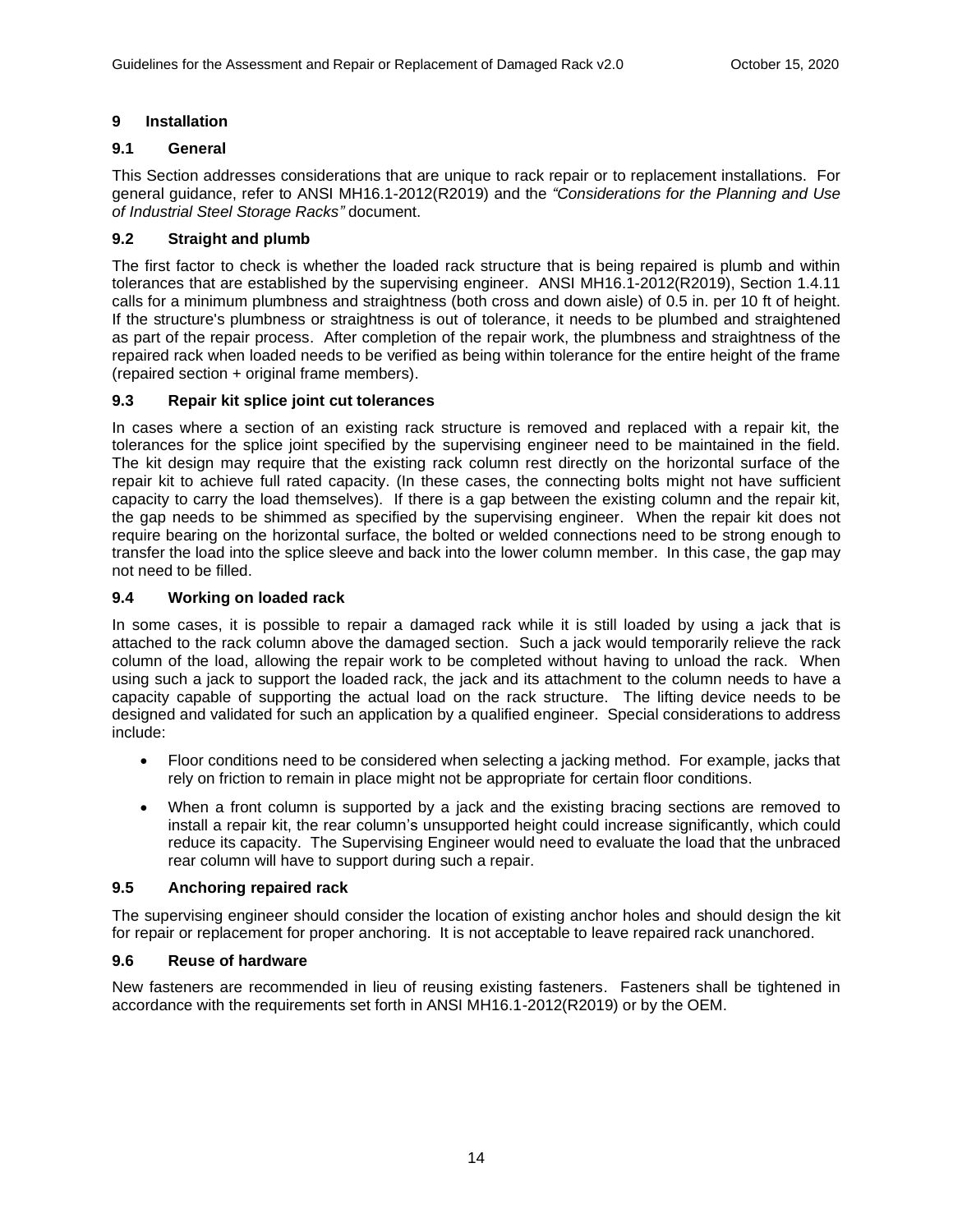## <span id="page-17-0"></span>**9 Installation**

## <span id="page-17-1"></span>**9.1 General**

This Section addresses considerations that are unique to rack repair or to replacement installations. For general guidance, refer to ANSI MH16.1-2012(R2019) and the *"Considerations for the Planning and Use of Industrial Steel Storage Racks"* document.

## <span id="page-17-2"></span>**9.2 Straight and plumb**

The first factor to check is whether the loaded rack structure that is being repaired is plumb and within tolerances that are established by the supervising engineer. ANSI MH16.1-2012(R2019), Section 1.4.11 calls for a minimum plumbness and straightness (both cross and down aisle) of 0.5 in. per 10 ft of height. If the structure's plumbness or straightness is out of tolerance, it needs to be plumbed and straightened as part of the repair process. After completion of the repair work, the plumbness and straightness of the repaired rack when loaded needs to be verified as being within tolerance for the entire height of the frame (repaired section + original frame members).

## <span id="page-17-3"></span>**9.3 Repair kit splice joint cut tolerances**

In cases where a section of an existing rack structure is removed and replaced with a repair kit, the tolerances for the splice joint specified by the supervising engineer need to be maintained in the field. The kit design may require that the existing rack column rest directly on the horizontal surface of the repair kit to achieve full rated capacity. (In these cases, the connecting bolts might not have sufficient capacity to carry the load themselves). If there is a gap between the existing column and the repair kit, the gap needs to be shimmed as specified by the supervising engineer. When the repair kit does not require bearing on the horizontal surface, the bolted or welded connections need to be strong enough to transfer the load into the splice sleeve and back into the lower column member. In this case, the gap may not need to be filled.

## <span id="page-17-4"></span>**9.4 Working on loaded rack**

In some cases, it is possible to repair a damaged rack while it is still loaded by using a jack that is attached to the rack column above the damaged section. Such a jack would temporarily relieve the rack column of the load, allowing the repair work to be completed without having to unload the rack. When using such a jack to support the loaded rack, the jack and its attachment to the column needs to have a capacity capable of supporting the actual load on the rack structure. The lifting device needs to be designed and validated for such an application by a qualified engineer. Special considerations to address include:

- Floor conditions need to be considered when selecting a jacking method. For example, jacks that rely on friction to remain in place might not be appropriate for certain floor conditions.
- When a front column is supported by a jack and the existing bracing sections are removed to install a repair kit, the rear column's unsupported height could increase significantly, which could reduce its capacity. The Supervising Engineer would need to evaluate the load that the unbraced rear column will have to support during such a repair.

### <span id="page-17-5"></span>**9.5 Anchoring repaired rack**

The supervising engineer should consider the location of existing anchor holes and should design the kit for repair or replacement for proper anchoring. It is not acceptable to leave repaired rack unanchored.

### <span id="page-17-6"></span>**9.6 Reuse of hardware**

New fasteners are recommended in lieu of reusing existing fasteners. Fasteners shall be tightened in accordance with the requirements set forth in ANSI MH16.1-2012(R2019) or by the OEM.